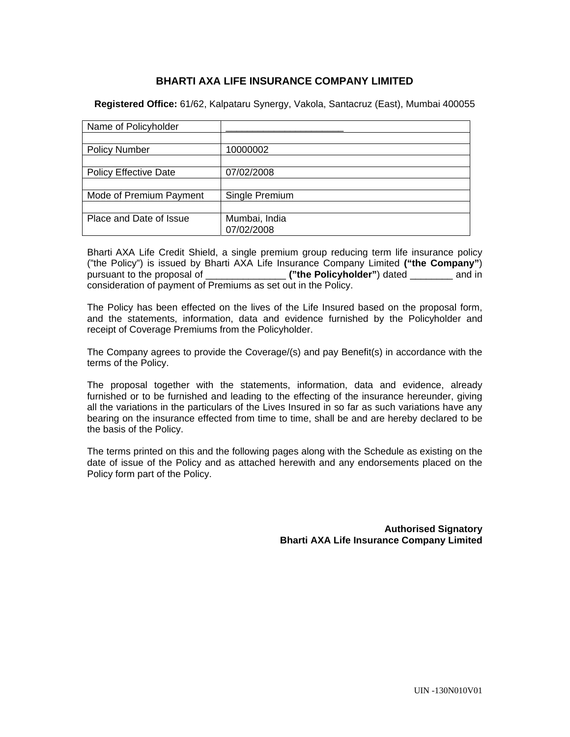# **BHARTI AXA LIFE INSURANCE COMPANY LIMITED**

**Registered Office:** 61/62, Kalpataru Synergy, Vakola, Santacruz (East), Mumbai 400055

| Name of Policyholder         |                |
|------------------------------|----------------|
|                              |                |
| <b>Policy Number</b>         | 10000002       |
|                              |                |
| <b>Policy Effective Date</b> | 07/02/2008     |
|                              |                |
| Mode of Premium Payment      | Single Premium |
|                              |                |
| Place and Date of Issue      | Mumbai, India  |
|                              | 07/02/2008     |

Bharti AXA Life Credit Shield, a single premium group reducing term life insurance policy ("the Policy") is issued by Bharti AXA Life Insurance Company Limited **("the Company"**) pursuant to the proposal of \_\_\_\_\_\_\_\_\_\_\_\_\_\_\_ **("the Policyholder"**) dated \_\_\_\_\_\_\_\_ and in consideration of payment of Premiums as set out in the Policy.

The Policy has been effected on the lives of the Life Insured based on the proposal form, and the statements, information, data and evidence furnished by the Policyholder and receipt of Coverage Premiums from the Policyholder.

The Company agrees to provide the Coverage/(s) and pay Benefit(s) in accordance with the terms of the Policy.

The proposal together with the statements, information, data and evidence, already furnished or to be furnished and leading to the effecting of the insurance hereunder, giving all the variations in the particulars of the Lives Insured in so far as such variations have any bearing on the insurance effected from time to time, shall be and are hereby declared to be the basis of the Policy.

The terms printed on this and the following pages along with the Schedule as existing on the date of issue of the Policy and as attached herewith and any endorsements placed on the Policy form part of the Policy.

> **Authorised Signatory Bharti AXA Life Insurance Company Limited**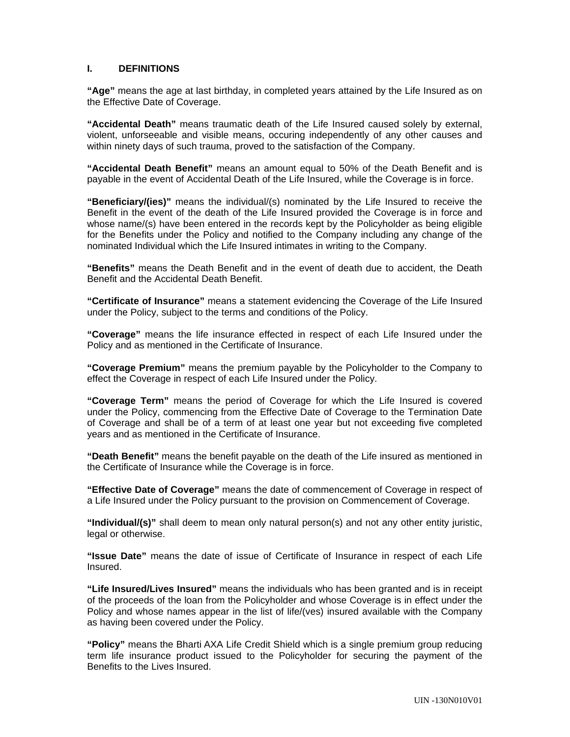# **I. DEFINITIONS**

**"Age"** means the age at last birthday, in completed years attained by the Life Insured as on the Effective Date of Coverage.

**"Accidental Death"** means traumatic death of the Life Insured caused solely by external, violent, unforseeable and visible means, occuring independently of any other causes and within ninety days of such trauma, proved to the satisfaction of the Company.

**"Accidental Death Benefit"** means an amount equal to 50% of the Death Benefit and is payable in the event of Accidental Death of the Life Insured, while the Coverage is in force.

**"Beneficiary/(ies)"** means the individual/(s) nominated by the Life Insured to receive the Benefit in the event of the death of the Life Insured provided the Coverage is in force and whose name/(s) have been entered in the records kept by the Policyholder as being eligible for the Benefits under the Policy and notified to the Company including any change of the nominated Individual which the Life Insured intimates in writing to the Company.

**"Benefits"** means the Death Benefit and in the event of death due to accident, the Death Benefit and the Accidental Death Benefit.

**"Certificate of Insurance"** means a statement evidencing the Coverage of the Life Insured under the Policy, subject to the terms and conditions of the Policy.

**"Coverage"** means the life insurance effected in respect of each Life Insured under the Policy and as mentioned in the Certificate of Insurance.

**"Coverage Premium"** means the premium payable by the Policyholder to the Company to effect the Coverage in respect of each Life Insured under the Policy.

**"Coverage Term"** means the period of Coverage for which the Life Insured is covered under the Policy, commencing from the Effective Date of Coverage to the Termination Date of Coverage and shall be of a term of at least one year but not exceeding five completed years and as mentioned in the Certificate of Insurance.

**"Death Benefit"** means the benefit payable on the death of the Life insured as mentioned in the Certificate of Insurance while the Coverage is in force.

**"Effective Date of Coverage"** means the date of commencement of Coverage in respect of a Life Insured under the Policy pursuant to the provision on Commencement of Coverage.

**"Individual/(s)"** shall deem to mean only natural person(s) and not any other entity juristic, legal or otherwise.

**"Issue Date"** means the date of issue of Certificate of Insurance in respect of each Life Insured.

**"Life Insured/Lives Insured"** means the individuals who has been granted and is in receipt of the proceeds of the loan from the Policyholder and whose Coverage is in effect under the Policy and whose names appear in the list of life/(ves) insured available with the Company as having been covered under the Policy.

**"Policy"** means the Bharti AXA Life Credit Shield which is a single premium group reducing term life insurance product issued to the Policyholder for securing the payment of the Benefits to the Lives Insured.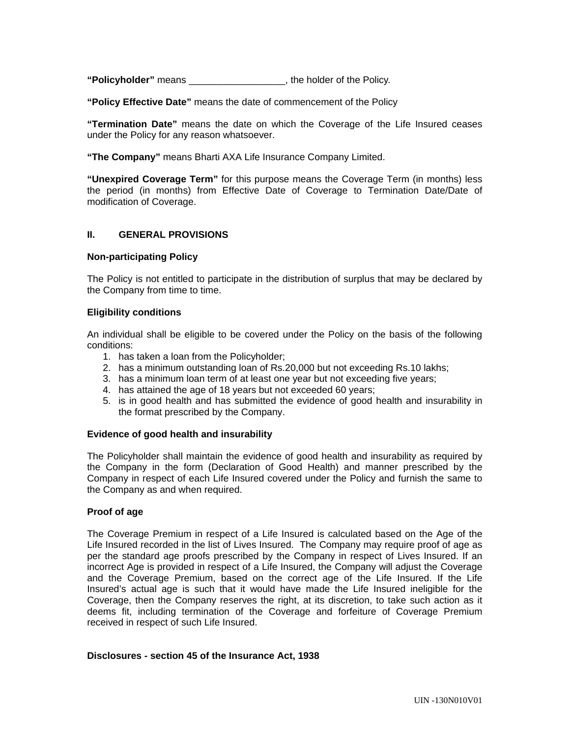**"Policyholder"** means \_\_\_\_\_\_\_\_\_\_\_\_\_\_\_\_\_\_, the holder of the Policy.

**"Policy Effective Date"** means the date of commencement of the Policy

**"Termination Date"** means the date on which the Coverage of the Life Insured ceases under the Policy for any reason whatsoever.

**"The Company"** means Bharti AXA Life Insurance Company Limited.

**"Unexpired Coverage Term"** for this purpose means the Coverage Term (in months) less the period (in months) from Effective Date of Coverage to Termination Date/Date of modification of Coverage.

### **II. GENERAL PROVISIONS**

### **Non-participating Policy**

The Policy is not entitled to participate in the distribution of surplus that may be declared by the Company from time to time.

### **Eligibility conditions**

An individual shall be eligible to be covered under the Policy on the basis of the following conditions:

- 1. has taken a loan from the Policyholder;
- 2. has a minimum outstanding loan of Rs.20,000 but not exceeding Rs.10 lakhs;
- 3. has a minimum loan term of at least one year but not exceeding five years;
- 4. has attained the age of 18 years but not exceeded 60 years;
- 5. is in good health and has submitted the evidence of good health and insurability in the format prescribed by the Company.

### **Evidence of good health and insurability**

The Policyholder shall maintain the evidence of good health and insurability as required by the Company in the form (Declaration of Good Health) and manner prescribed by the Company in respect of each Life Insured covered under the Policy and furnish the same to the Company as and when required.

### **Proof of age**

The Coverage Premium in respect of a Life Insured is calculated based on the Age of the Life Insured recorded in the list of Lives Insured. The Company may require proof of age as per the standard age proofs prescribed by the Company in respect of Lives Insured. If an incorrect Age is provided in respect of a Life Insured, the Company will adjust the Coverage and the Coverage Premium, based on the correct age of the Life Insured. If the Life Insured's actual age is such that it would have made the Life Insured ineligible for the Coverage, then the Company reserves the right, at its discretion, to take such action as it deems fit, including termination of the Coverage and forfeiture of Coverage Premium received in respect of such Life Insured.

### **Disclosures - section 45 of the Insurance Act, 1938**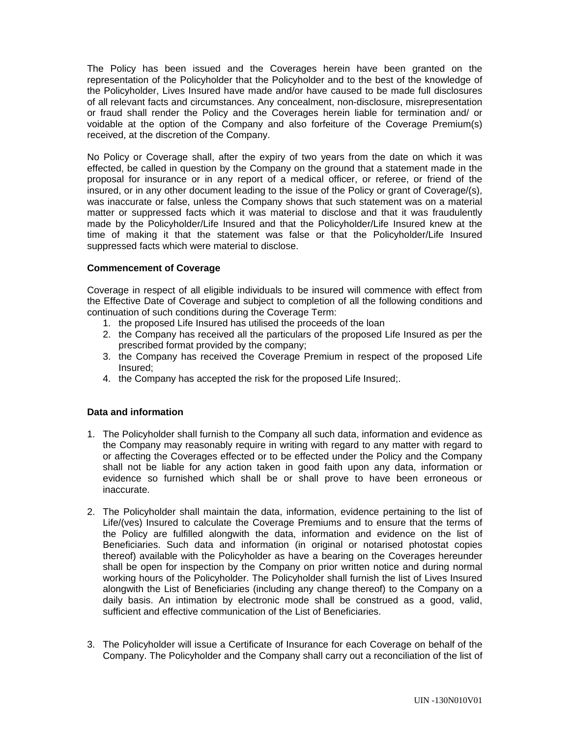The Policy has been issued and the Coverages herein have been granted on the representation of the Policyholder that the Policyholder and to the best of the knowledge of the Policyholder, Lives Insured have made and/or have caused to be made full disclosures of all relevant facts and circumstances. Any concealment, non-disclosure, misrepresentation or fraud shall render the Policy and the Coverages herein liable for termination and/ or voidable at the option of the Company and also forfeiture of the Coverage Premium(s) received, at the discretion of the Company.

No Policy or Coverage shall, after the expiry of two years from the date on which it was effected, be called in question by the Company on the ground that a statement made in the proposal for insurance or in any report of a medical officer, or referee, or friend of the insured, or in any other document leading to the issue of the Policy or grant of Coverage/(s), was inaccurate or false, unless the Company shows that such statement was on a material matter or suppressed facts which it was material to disclose and that it was fraudulently made by the Policyholder/Life Insured and that the Policyholder/Life Insured knew at the time of making it that the statement was false or that the Policyholder/Life Insured suppressed facts which were material to disclose.

# **Commencement of Coverage**

Coverage in respect of all eligible individuals to be insured will commence with effect from the Effective Date of Coverage and subject to completion of all the following conditions and continuation of such conditions during the Coverage Term:

- 1. the proposed Life Insured has utilised the proceeds of the loan
- 2. the Company has received all the particulars of the proposed Life Insured as per the prescribed format provided by the company;
- 3. the Company has received the Coverage Premium in respect of the proposed Life Insured;
- 4. the Company has accepted the risk for the proposed Life Insured;.

# **Data and information**

- 1. The Policyholder shall furnish to the Company all such data, information and evidence as the Company may reasonably require in writing with regard to any matter with regard to or affecting the Coverages effected or to be effected under the Policy and the Company shall not be liable for any action taken in good faith upon any data, information or evidence so furnished which shall be or shall prove to have been erroneous or inaccurate.
- 2. The Policyholder shall maintain the data, information, evidence pertaining to the list of Life/(ves) Insured to calculate the Coverage Premiums and to ensure that the terms of the Policy are fulfilled alongwith the data, information and evidence on the list of Beneficiaries. Such data and information (in original or notarised photostat copies thereof) available with the Policyholder as have a bearing on the Coverages hereunder shall be open for inspection by the Company on prior written notice and during normal working hours of the Policyholder. The Policyholder shall furnish the list of Lives Insured alongwith the List of Beneficiaries (including any change thereof) to the Company on a daily basis. An intimation by electronic mode shall be construed as a good, valid, sufficient and effective communication of the List of Beneficiaries.
- 3. The Policyholder will issue a Certificate of Insurance for each Coverage on behalf of the Company. The Policyholder and the Company shall carry out a reconciliation of the list of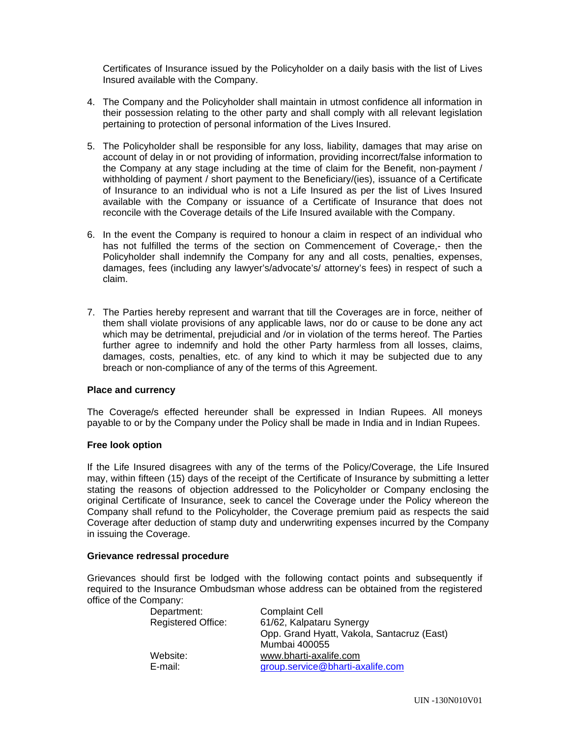Certificates of Insurance issued by the Policyholder on a daily basis with the list of Lives Insured available with the Company.

- 4. The Company and the Policyholder shall maintain in utmost confidence all information in their possession relating to the other party and shall comply with all relevant legislation pertaining to protection of personal information of the Lives Insured.
- 5. The Policyholder shall be responsible for any loss, liability, damages that may arise on account of delay in or not providing of information, providing incorrect/false information to the Company at any stage including at the time of claim for the Benefit, non-payment / withholding of payment / short payment to the Beneficiary/(ies), issuance of a Certificate of Insurance to an individual who is not a Life Insured as per the list of Lives Insured available with the Company or issuance of a Certificate of Insurance that does not reconcile with the Coverage details of the Life Insured available with the Company.
- 6. In the event the Company is required to honour a claim in respect of an individual who has not fulfilled the terms of the section on Commencement of Coverage,- then the Policyholder shall indemnify the Company for any and all costs, penalties, expenses, damages, fees (including any lawyer's/advocate's/ attorney's fees) in respect of such a claim.
- 7. The Parties hereby represent and warrant that till the Coverages are in force, neither of them shall violate provisions of any applicable laws, nor do or cause to be done any act which may be detrimental, prejudicial and /or in violation of the terms hereof. The Parties further agree to indemnify and hold the other Party harmless from all losses, claims, damages, costs, penalties, etc. of any kind to which it may be subjected due to any breach or non-compliance of any of the terms of this Agreement.

### **Place and currency**

The Coverage/s effected hereunder shall be expressed in Indian Rupees. All moneys payable to or by the Company under the Policy shall be made in India and in Indian Rupees.

### **Free look option**

If the Life Insured disagrees with any of the terms of the Policy/Coverage, the Life Insured may, within fifteen (15) days of the receipt of the Certificate of Insurance by submitting a letter stating the reasons of objection addressed to the Policyholder or Company enclosing the original Certificate of Insurance, seek to cancel the Coverage under the Policy whereon the Company shall refund to the Policyholder, the Coverage premium paid as respects the said Coverage after deduction of stamp duty and underwriting expenses incurred by the Company in issuing the Coverage.

### **Grievance redressal procedure**

Grievances should first be lodged with the following contact points and subsequently if required to the Insurance Ombudsman whose address can be obtained from the registered office of the Company:

| Department:               | <b>Complaint Cell</b>                      |
|---------------------------|--------------------------------------------|
| <b>Registered Office:</b> | 61/62, Kalpataru Synergy                   |
|                           | Opp. Grand Hyatt, Vakola, Santacruz (East) |
|                           | Mumbai 400055                              |
| Website:                  | www.bharti-axalife.com                     |
| E-mail:                   | group.service@bharti-axalife.com           |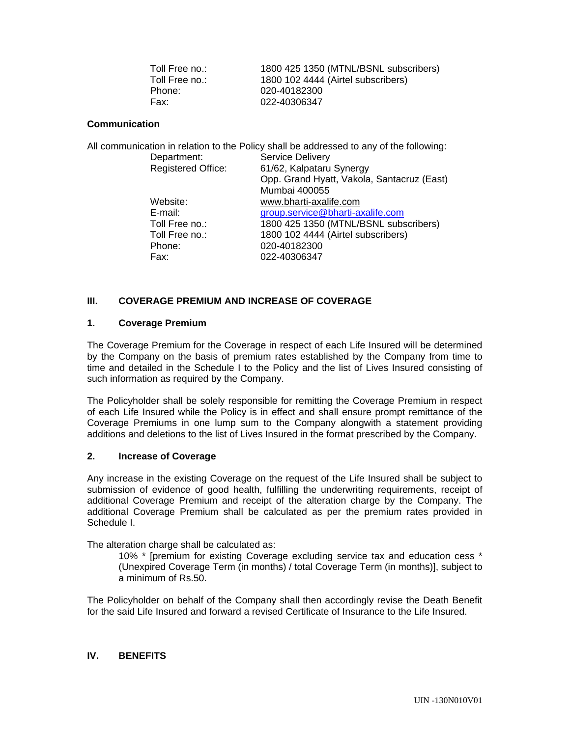### **Communication**

|                           | All communication in relation to the Policy shall be addressed to any of the following: |
|---------------------------|-----------------------------------------------------------------------------------------|
| Department:               | <b>Service Delivery</b>                                                                 |
| <b>Registered Office:</b> | 61/62, Kalpataru Synergy                                                                |
|                           | Opp. Grand Hyatt, Vakola, Santacruz (East)                                              |
|                           | Mumbai 400055                                                                           |
| Website:                  | www.bharti-axalife.com                                                                  |
| E-mail:                   | group.service@bharti-axalife.com                                                        |
| Toll Free no.:            | 1800 425 1350 (MTNL/BSNL subscribers)                                                   |
| Toll Free no.:            | 1800 102 4444 (Airtel subscribers)                                                      |
| Phone:                    | 020-40182300                                                                            |
| Fax:                      | 022-40306347                                                                            |

# **III. COVERAGE PREMIUM AND INCREASE OF COVERAGE**

### **1. Coverage Premium**

The Coverage Premium for the Coverage in respect of each Life Insured will be determined by the Company on the basis of premium rates established by the Company from time to time and detailed in the Schedule I to the Policy and the list of Lives Insured consisting of such information as required by the Company.

The Policyholder shall be solely responsible for remitting the Coverage Premium in respect of each Life Insured while the Policy is in effect and shall ensure prompt remittance of the Coverage Premiums in one lump sum to the Company alongwith a statement providing additions and deletions to the list of Lives Insured in the format prescribed by the Company.

### **2. Increase of Coverage**

Any increase in the existing Coverage on the request of the Life Insured shall be subject to submission of evidence of good health, fulfilling the underwriting requirements, receipt of additional Coverage Premium and receipt of the alteration charge by the Company. The additional Coverage Premium shall be calculated as per the premium rates provided in Schedule I.

The alteration charge shall be calculated as:

10% \* [premium for existing Coverage excluding service tax and education cess \* (Unexpired Coverage Term (in months) / total Coverage Term (in months)], subject to a minimum of Rs.50.

The Policyholder on behalf of the Company shall then accordingly revise the Death Benefit for the said Life Insured and forward a revised Certificate of Insurance to the Life Insured.

# **IV. BENEFITS**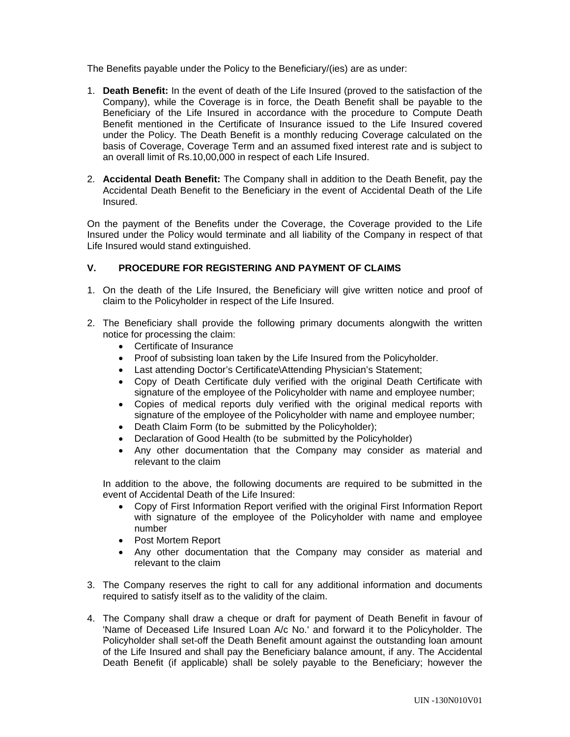The Benefits payable under the Policy to the Beneficiary/(ies) are as under:

- 1. **Death Benefit:** In the event of death of the Life Insured (proved to the satisfaction of the Company), while the Coverage is in force, the Death Benefit shall be payable to the Beneficiary of the Life Insured in accordance with the procedure to Compute Death Benefit mentioned in the Certificate of Insurance issued to the Life Insured covered under the Policy. The Death Benefit is a monthly reducing Coverage calculated on the basis of Coverage, Coverage Term and an assumed fixed interest rate and is subject to an overall limit of Rs.10,00,000 in respect of each Life Insured.
- 2. **Accidental Death Benefit:** The Company shall in addition to the Death Benefit, pay the Accidental Death Benefit to the Beneficiary in the event of Accidental Death of the Life Insured.

On the payment of the Benefits under the Coverage, the Coverage provided to the Life Insured under the Policy would terminate and all liability of the Company in respect of that Life Insured would stand extinguished.

# **V. PROCEDURE FOR REGISTERING AND PAYMENT OF CLAIMS**

- 1. On the death of the Life Insured, the Beneficiary will give written notice and proof of claim to the Policyholder in respect of the Life Insured.
- 2. The Beneficiary shall provide the following primary documents alongwith the written notice for processing the claim:
	- Certificate of Insurance
	- Proof of subsisting loan taken by the Life Insured from the Policyholder.
	- Last attending Doctor's Certificate\Attending Physician's Statement;
	- Copy of Death Certificate duly verified with the original Death Certificate with signature of the employee of the Policyholder with name and employee number;
	- Copies of medical reports duly verified with the original medical reports with signature of the employee of the Policyholder with name and employee number;
	- Death Claim Form (to be submitted by the Policyholder);
	- Declaration of Good Health (to be submitted by the Policyholder)
	- Any other documentation that the Company may consider as material and relevant to the claim

In addition to the above, the following documents are required to be submitted in the event of Accidental Death of the Life Insured:

- Copy of First Information Report verified with the original First Information Report with signature of the employee of the Policyholder with name and employee number
- Post Mortem Report
- Any other documentation that the Company may consider as material and relevant to the claim
- 3. The Company reserves the right to call for any additional information and documents required to satisfy itself as to the validity of the claim.
- 4. The Company shall draw a cheque or draft for payment of Death Benefit in favour of 'Name of Deceased Life Insured Loan A/c No.' and forward it to the Policyholder. The Policyholder shall set-off the Death Benefit amount against the outstanding loan amount of the Life Insured and shall pay the Beneficiary balance amount, if any. The Accidental Death Benefit (if applicable) shall be solely payable to the Beneficiary; however the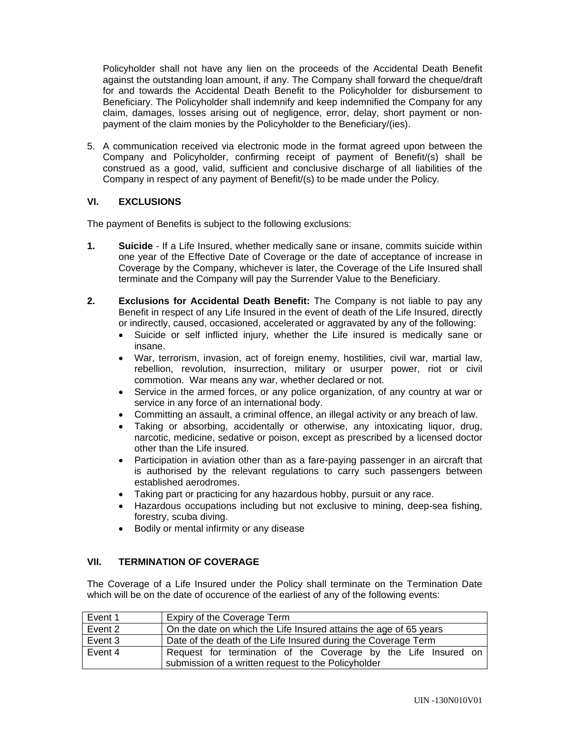Policyholder shall not have any lien on the proceeds of the Accidental Death Benefit against the outstanding loan amount, if any. The Company shall forward the cheque/draft for and towards the Accidental Death Benefit to the Policyholder for disbursement to Beneficiary. The Policyholder shall indemnify and keep indemnified the Company for any claim, damages, losses arising out of negligence, error, delay, short payment or nonpayment of the claim monies by the Policyholder to the Beneficiary/(ies).

5. A communication received via electronic mode in the format agreed upon between the Company and Policyholder, confirming receipt of payment of Benefit/(s) shall be construed as a good, valid, sufficient and conclusive discharge of all liabilities of the Company in respect of any payment of Benefit/(s) to be made under the Policy.

# **VI. EXCLUSIONS**

The payment of Benefits is subject to the following exclusions:

- **1. Suicide**  If a Life Insured, whether medically sane or insane, commits suicide within one year of the Effective Date of Coverage or the date of acceptance of increase in Coverage by the Company, whichever is later, the Coverage of the Life Insured shall terminate and the Company will pay the Surrender Value to the Beneficiary.
- **2. Exclusions for Accidental Death Benefit:** The Company is not liable to pay any Benefit in respect of any Life Insured in the event of death of the Life Insured, directly or indirectly, caused, occasioned, accelerated or aggravated by any of the following:
	- Suicide or self inflicted injury, whether the Life insured is medically sane or insane.
	- War, terrorism, invasion, act of foreign enemy, hostilities, civil war, martial law, rebellion, revolution, insurrection, military or usurper power, riot or civil commotion. War means any war, whether declared or not.
	- Service in the armed forces, or any police organization, of any country at war or service in any force of an international body.
	- Committing an assault, a criminal offence, an illegal activity or any breach of law.
	- Taking or absorbing, accidentally or otherwise, any intoxicating liquor, drug, narcotic, medicine, sedative or poison, except as prescribed by a licensed doctor other than the Life insured.
	- Participation in aviation other than as a fare-paying passenger in an aircraft that is authorised by the relevant regulations to carry such passengers between established aerodromes.
	- Taking part or practicing for any hazardous hobby, pursuit or any race.
	- Hazardous occupations including but not exclusive to mining, deep-sea fishing, forestry, scuba diving.
	- Bodily or mental infirmity or any disease

# **VII. TERMINATION OF COVERAGE**

The Coverage of a Life Insured under the Policy shall terminate on the Termination Date which will be on the date of occurence of the earliest of any of the following events:

| Event 1 | Expiry of the Coverage Term                                       |  |  |  |  |  |
|---------|-------------------------------------------------------------------|--|--|--|--|--|
| Event 2 | On the date on which the Life Insured attains the age of 65 years |  |  |  |  |  |
| Event 3 | Date of the death of the Life Insured during the Coverage Term    |  |  |  |  |  |
| Event 4 | Request for termination of the Coverage by the Life Insured on    |  |  |  |  |  |
|         | submission of a written request to the Policyholder               |  |  |  |  |  |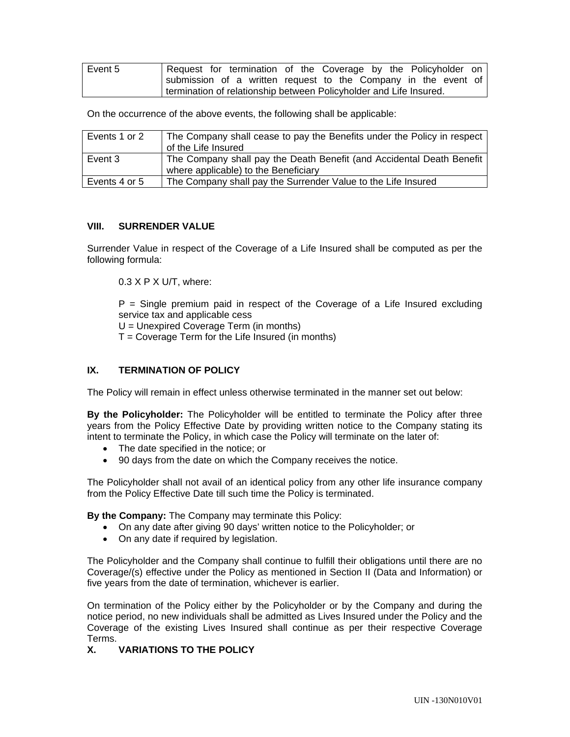| Event 5 | Request for termination of the Coverage by the Policyholder on     |  |  |  |  |  |
|---------|--------------------------------------------------------------------|--|--|--|--|--|
|         | submission of a written request to the Company in the event of     |  |  |  |  |  |
|         | termination of relationship between Policyholder and Life Insured. |  |  |  |  |  |

On the occurrence of the above events, the following shall be applicable:

| Events 1 or 2 | The Company shall cease to pay the Benefits under the Policy in respect<br>of the Life Insured                |
|---------------|---------------------------------------------------------------------------------------------------------------|
| Event 3       | The Company shall pay the Death Benefit (and Accidental Death Benefit<br>where applicable) to the Beneficiary |
| Events 4 or 5 | The Company shall pay the Surrender Value to the Life Insured                                                 |

### **VIII. SURRENDER VALUE**

Surrender Value in respect of the Coverage of a Life Insured shall be computed as per the following formula:

0.3 X P X U/T, where:

 $P =$  Single premium paid in respect of the Coverage of a Life Insured excluding service tax and applicable cess U = Unexpired Coverage Term (in months)

 $T =$  Coverage Term for the Life Insured (in months)

# **IX. TERMINATION OF POLICY**

The Policy will remain in effect unless otherwise terminated in the manner set out below:

**By the Policyholder:** The Policyholder will be entitled to terminate the Policy after three years from the Policy Effective Date by providing written notice to the Company stating its intent to terminate the Policy, in which case the Policy will terminate on the later of:

- The date specified in the notice; or
- 90 days from the date on which the Company receives the notice.

The Policyholder shall not avail of an identical policy from any other life insurance company from the Policy Effective Date till such time the Policy is terminated.

**By the Company:** The Company may terminate this Policy:

- On any date after giving 90 days' written notice to the Policyholder; or
- On any date if required by legislation.

The Policyholder and the Company shall continue to fulfill their obligations until there are no Coverage/(s) effective under the Policy as mentioned in Section II (Data and Information) or five years from the date of termination, whichever is earlier.

On termination of the Policy either by the Policyholder or by the Company and during the notice period, no new individuals shall be admitted as Lives Insured under the Policy and the Coverage of the existing Lives Insured shall continue as per their respective Coverage Terms.

# **X. VARIATIONS TO THE POLICY**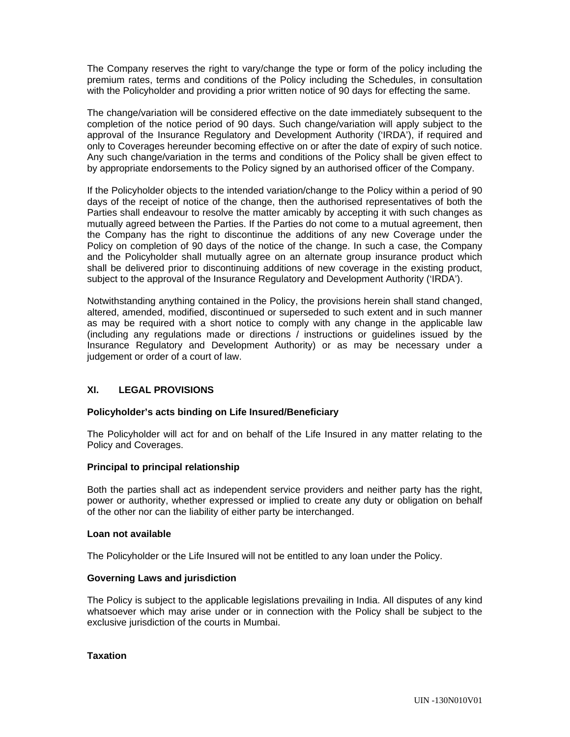The Company reserves the right to vary/change the type or form of the policy including the premium rates, terms and conditions of the Policy including the Schedules, in consultation with the Policyholder and providing a prior written notice of 90 days for effecting the same.

The change/variation will be considered effective on the date immediately subsequent to the completion of the notice period of 90 days. Such change/variation will apply subject to the approval of the Insurance Regulatory and Development Authority ('IRDA'), if required and only to Coverages hereunder becoming effective on or after the date of expiry of such notice. Any such change/variation in the terms and conditions of the Policy shall be given effect to by appropriate endorsements to the Policy signed by an authorised officer of the Company.

If the Policyholder objects to the intended variation/change to the Policy within a period of 90 days of the receipt of notice of the change, then the authorised representatives of both the Parties shall endeavour to resolve the matter amicably by accepting it with such changes as mutually agreed between the Parties. If the Parties do not come to a mutual agreement, then the Company has the right to discontinue the additions of any new Coverage under the Policy on completion of 90 days of the notice of the change. In such a case, the Company and the Policyholder shall mutually agree on an alternate group insurance product which shall be delivered prior to discontinuing additions of new coverage in the existing product, subject to the approval of the Insurance Regulatory and Development Authority ('IRDA').

Notwithstanding anything contained in the Policy, the provisions herein shall stand changed, altered, amended, modified, discontinued or superseded to such extent and in such manner as may be required with a short notice to comply with any change in the applicable law (including any regulations made or directions / instructions or guidelines issued by the Insurance Regulatory and Development Authority) or as may be necessary under a judgement or order of a court of law.

# **XI. LEGAL PROVISIONS**

# **Policyholder's acts binding on Life Insured/Beneficiary**

The Policyholder will act for and on behalf of the Life Insured in any matter relating to the Policy and Coverages.

### **Principal to principal relationship**

Both the parties shall act as independent service providers and neither party has the right, power or authority, whether expressed or implied to create any duty or obligation on behalf of the other nor can the liability of either party be interchanged.

### **Loan not available**

The Policyholder or the Life Insured will not be entitled to any loan under the Policy.

### **Governing Laws and jurisdiction**

The Policy is subject to the applicable legislations prevailing in India. All disputes of any kind whatsoever which may arise under or in connection with the Policy shall be subject to the exclusive jurisdiction of the courts in Mumbai.

# **Taxation**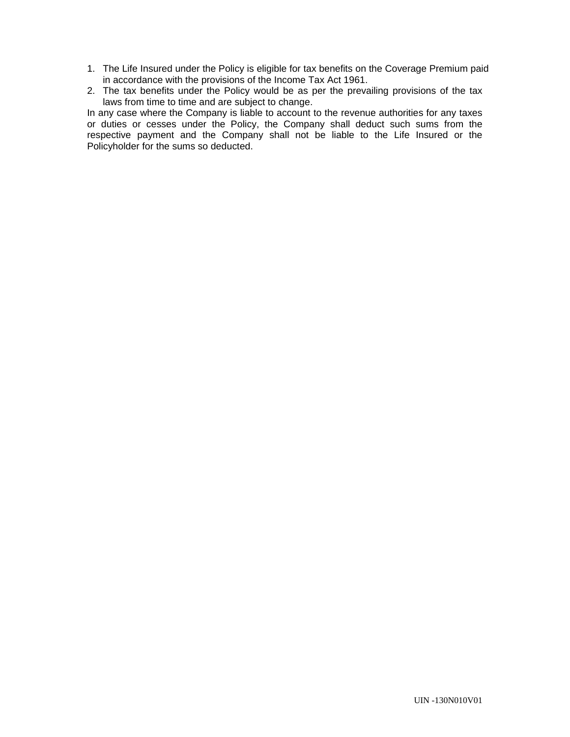- 1. The Life Insured under the Policy is eligible for tax benefits on the Coverage Premium paid in accordance with the provisions of the Income Tax Act 1961.
- 2. The tax benefits under the Policy would be as per the prevailing provisions of the tax laws from time to time and are subject to change.

In any case where the Company is liable to account to the revenue authorities for any taxes or duties or cesses under the Policy, the Company shall deduct such sums from the respective payment and the Company shall not be liable to the Life Insured or the Policyholder for the sums so deducted.